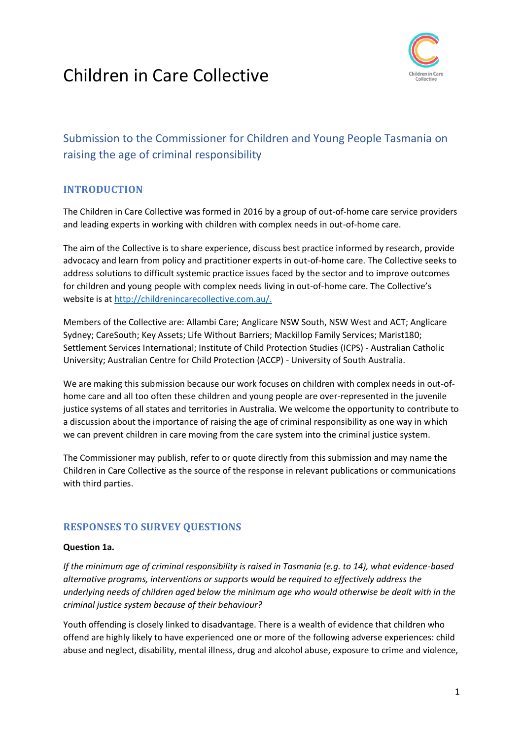# Children in Care Collective



# Submission to the Commissioner for Children and Young People Tasmania on raising the age of criminal responsibility

# **INTRODUCTION**

The Children in Care Collective was formed in 2016 by a group of out-of-home care service providers and leading experts in working with children with complex needs in out-of-home care.

The aim of the Collective is to share experience, discuss best practice informed by research, provide advocacy and learn from policy and practitioner experts in out-of-home care. The Collective seeks to address solutions to difficult systemic practice issues faced by the sector and to improve outcomes for children and young people with complex needs living in out-of-home care. The Collective's website is at [http://childrenincarecollective.com.au/.](http://childrenincarecollective.com.au/)

Members of the Collective are: Allambi Care; Anglicare NSW South, NSW West and ACT; Anglicare Sydney; CareSouth; Key Assets; Life Without Barriers; Mackillop Family Services; Marist180; Settlement Services International; Institute of Child Protection Studies (ICPS) - Australian Catholic University; Australian Centre for Child Protection (ACCP) - University of South Australia.

We are making this submission because our work focuses on children with complex needs in out-ofhome care and all too often these children and young people are over-represented in the juvenile justice systems of all states and territories in Australia. We welcome the opportunity to contribute to a discussion about the importance of raising the age of criminal responsibility as one way in which we can prevent children in care moving from the care system into the criminal justice system.

The Commissioner may publish, refer to or quote directly from this submission and may name the Children in Care Collective as the source of the response in relevant publications or communications with third parties.

# **RESPONSES TO SURVEY QUESTIONS**

#### **Question 1a.**

*If the minimum age of criminal responsibility is raised in Tasmania (e.g. to 14), what evidence-based alternative programs, interventions or supports would be required to effectively address the underlying needs of children aged below the minimum age who would otherwise be dealt with in the criminal justice system because of their behaviour?*

Youth offending is closely linked to disadvantage. There is a wealth of evidence that children who offend are highly likely to have experienced one or more of the following adverse experiences: child abuse and neglect, disability, mental illness, drug and alcohol abuse, exposure to crime and violence,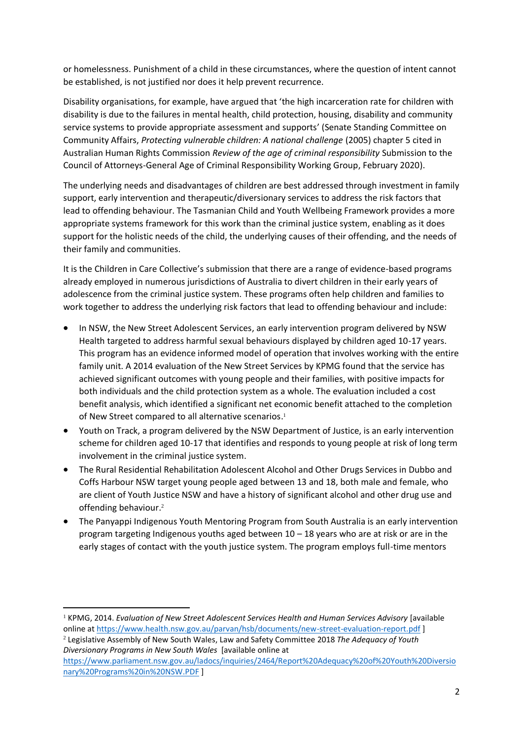or homelessness. Punishment of a child in these circumstances, where the question of intent cannot be established, is not justified nor does it help prevent recurrence.

Disability organisations, for example, have argued that 'the high incarceration rate for children with disability is due to the failures in mental health, child protection, housing, disability and community service systems to provide appropriate assessment and supports' (Senate Standing Committee on Community Affairs, *Protecting vulnerable children: A national challenge* (2005) chapter 5 cited in Australian Human Rights Commission *Review of the age of criminal responsibility* Submission to the Council of Attorneys-General Age of Criminal Responsibility Working Group, February 2020).

The underlying needs and disadvantages of children are best addressed through investment in family support, early intervention and therapeutic/diversionary services to address the risk factors that lead to offending behaviour. The Tasmanian Child and Youth Wellbeing Framework provides a more appropriate systems framework for this work than the criminal justice system, enabling as it does support for the holistic needs of the child, the underlying causes of their offending, and the needs of their family and communities.

It is the Children in Care Collective's submission that there are a range of evidence-based programs already employed in numerous jurisdictions of Australia to divert children in their early years of adolescence from the criminal justice system. These programs often help children and families to work together to address the underlying risk factors that lead to offending behaviour and include:

- In NSW, the New Street Adolescent Services, an early intervention program delivered by NSW Health targeted to address harmful sexual behaviours displayed by children aged 10-17 years. This program has an evidence informed model of operation that involves working with the entire family unit. A 2014 evaluation of the New Street Services by KPMG found that the service has achieved significant outcomes with young people and their families, with positive impacts for both individuals and the child protection system as a whole. The evaluation included a cost benefit analysis, which identified a significant net economic benefit attached to the completion of New Street compared to all alternative scenarios. 1
- Youth on Track, a program delivered by the NSW Department of Justice, is an early intervention scheme for children aged 10-17 that identifies and responds to young people at risk of long term involvement in the criminal justice system.
- The Rural Residential Rehabilitation Adolescent Alcohol and Other Drugs Services in Dubbo and Coffs Harbour NSW target young people aged between 13 and 18, both male and female, who are client of Youth Justice NSW and have a history of significant alcohol and other drug use and offending behaviour. 2
- The Panyappi Indigenous Youth Mentoring Program from South Australia is an early intervention program targeting Indigenous youths aged between  $10 - 18$  years who are at risk or are in the early stages of contact with the youth justice system. The program employs full-time mentors

*Diversionary Programs in New South Wales* [available online at

<sup>1</sup> KPMG, 2014. *Evaluation of New Street Adolescent Services Health and Human Services Advisory* [available online at<https://www.health.nsw.gov.au/parvan/hsb/documents/new-street-evaluation-report.pdf> ] <sup>2</sup> Legislative Assembly of New South Wales, Law and Safety Committee 2018 *The Adequacy of Youth* 

[https://www.parliament.nsw.gov.au/ladocs/inquiries/2464/Report%20Adequacy%20of%20Youth%20Diversio](https://www.parliament.nsw.gov.au/ladocs/inquiries/2464/Report%20Adequacy%20of%20Youth%20Diversionary%20Programs%20in%20NSW.PDF) [nary%20Programs%20in%20NSW.PDF](https://www.parliament.nsw.gov.au/ladocs/inquiries/2464/Report%20Adequacy%20of%20Youth%20Diversionary%20Programs%20in%20NSW.PDF) ]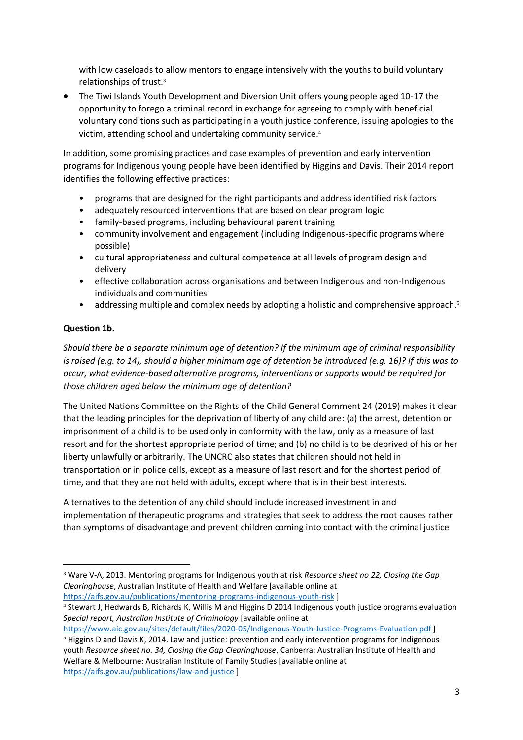with low caseloads to allow mentors to engage intensively with the youths to build voluntary relationships of trust. 3

• The Tiwi Islands Youth Development and Diversion Unit offers young people aged 10-17 the opportunity to forego a criminal record in exchange for agreeing to comply with beneficial voluntary conditions such as participating in a youth justice conference, issuing apologies to the victim, attending school and undertaking community service. 4

In addition, some promising practices and case examples of prevention and early intervention programs for Indigenous young people have been identified by Higgins and Davis. Their 2014 report identifies the following effective practices:

- programs that are designed for the right participants and address identified risk factors
- adequately resourced interventions that are based on clear program logic
- family-based programs, including behavioural parent training
- community involvement and engagement (including Indigenous-specific programs where possible)
- cultural appropriateness and cultural competence at all levels of program design and delivery
- effective collaboration across organisations and between Indigenous and non-Indigenous individuals and communities
- addressing multiple and complex needs by adopting a holistic and comprehensive approach.<sup>5</sup>

#### **Question 1b.**

*Should there be a separate minimum age of detention? If the minimum age of criminal responsibility is raised (e.g. to 14), should a higher minimum age of detention be introduced (e.g. 16)? If this was to occur, what evidence-based alternative programs, interventions or supports would be required for those children aged below the minimum age of detention?*

The United Nations Committee on the Rights of the Child General Comment 24 (2019) makes it clear that the leading principles for the deprivation of liberty of any child are: (a) the arrest, detention or imprisonment of a child is to be used only in conformity with the law, only as a measure of last resort and for the shortest appropriate period of time; and (b) no child is to be deprived of his or her liberty unlawfully or arbitrarily. The UNCRC also states that children should not held in transportation or in police cells, except as a measure of last resort and for the shortest period of time, and that they are not held with adults, except where that is in their best interests.

Alternatives to the detention of any child should include increased investment in and implementation of therapeutic programs and strategies that seek to address the root causes rather than symptoms of disadvantage and prevent children coming into contact with the criminal justice

<https://www.aic.gov.au/sites/default/files/2020-05/Indigenous-Youth-Justice-Programs-Evaluation.pdf> ]

<sup>5</sup> Higgins D and Davis K, 2014. Law and justice: prevention and early intervention programs for Indigenous youth *Resource sheet no. 34, Closing the Gap Clearinghouse*, Canberra: Australian Institute of Health and Welfare & Melbourne: Australian Institute of Family Studies [available online at <https://aifs.gov.au/publications/law-and-justice> ]

<sup>3</sup> Ware V-A, 2013. Mentoring programs for Indigenous youth at risk *Resource sheet no 22, Closing the Gap Clearinghouse*, Australian Institute of Health and Welfare [available online at <https://aifs.gov.au/publications/mentoring-programs-indigenous-youth-risk> ]

<sup>4</sup> Stewart J, Hedwards B, Richards K, Willis M and Higgins D 2014 Indigenous youth justice programs evaluation *Special report, Australian Institute of Criminology* [available online at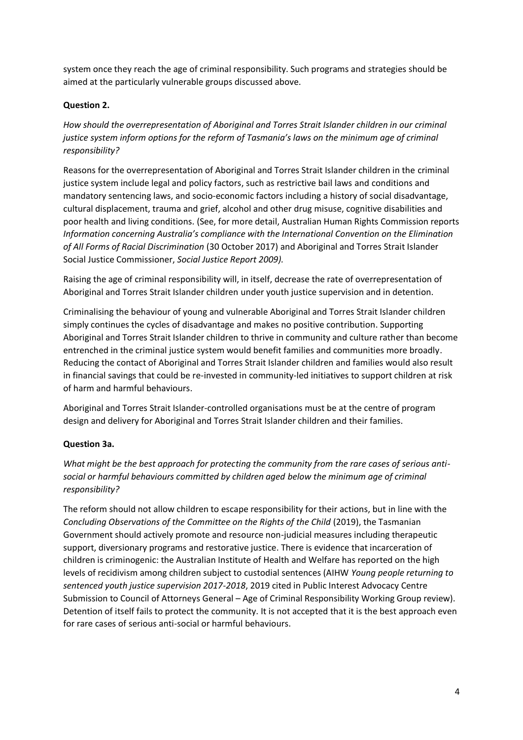system once they reach the age of criminal responsibility. Such programs and strategies should be aimed at the particularly vulnerable groups discussed above.

## **Question 2.**

*How should the overrepresentation of Aboriginal and Torres Strait Islander children in our criminal justice system inform options for the reform of Tasmania's laws on the minimum age of criminal responsibility?*

Reasons for the overrepresentation of Aboriginal and Torres Strait Islander children in the criminal justice system include legal and policy factors, such as restrictive bail laws and conditions and mandatory sentencing laws, and socio-economic factors including a history of social disadvantage, cultural displacement, trauma and grief, alcohol and other drug misuse, cognitive disabilities and poor health and living conditions. (See, for more detail, Australian Human Rights Commission reports *Information concerning Australia's compliance with the International Convention on the Elimination of All Forms of Racial Discrimination* (30 October 2017) and Aboriginal and Torres Strait Islander Social Justice Commissioner, *Social Justice Report 2009).*

Raising the age of criminal responsibility will, in itself, decrease the rate of overrepresentation of Aboriginal and Torres Strait Islander children under youth justice supervision and in detention.

Criminalising the behaviour of young and vulnerable Aboriginal and Torres Strait Islander children simply continues the cycles of disadvantage and makes no positive contribution. Supporting Aboriginal and Torres Strait Islander children to thrive in community and culture rather than become entrenched in the criminal justice system would benefit families and communities more broadly. Reducing the contact of Aboriginal and Torres Strait Islander children and families would also result in financial savings that could be re-invested in community-led initiatives to support children at risk of harm and harmful behaviours.

Aboriginal and Torres Strait Islander-controlled organisations must be at the centre of program design and delivery for Aboriginal and Torres Strait Islander children and their families.

#### **Question 3a.**

*What might be the best approach for protecting the community from the rare cases of serious antisocial or harmful behaviours committed by children aged below the minimum age of criminal responsibility?*

The reform should not allow children to escape responsibility for their actions, but in line with the *Concluding Observations of the Committee on the Rights of the Child* (2019), the Tasmanian Government should actively promote and resource non-judicial measures including therapeutic support, diversionary programs and restorative justice. There is evidence that incarceration of children is criminogenic: the Australian Institute of Health and Welfare has reported on the high levels of recidivism among children subject to custodial sentences (AIHW *Young people returning to sentenced youth justice supervision 2017-2018*, 2019 cited in Public Interest Advocacy Centre Submission to Council of Attorneys General – Age of Criminal Responsibility Working Group review). Detention of itself fails to protect the community. It is not accepted that it is the best approach even for rare cases of serious anti-social or harmful behaviours.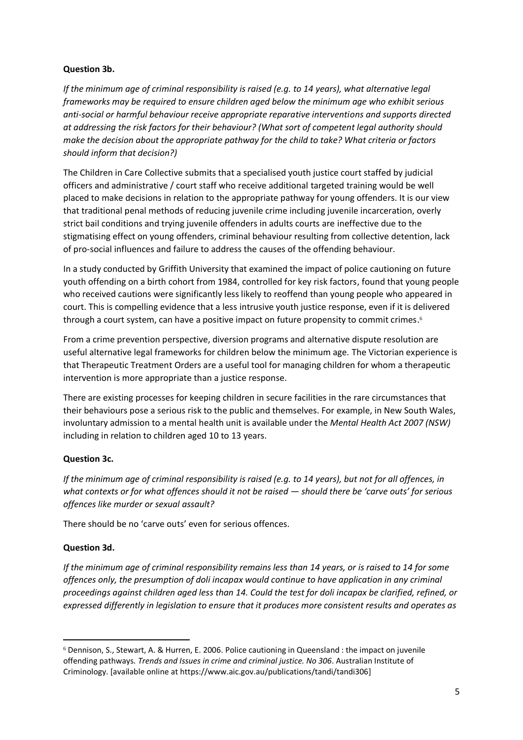#### **Question 3b.**

*If the minimum age of criminal responsibility is raised (e.g. to 14 years), what alternative legal frameworks may be required to ensure children aged below the minimum age who exhibit serious anti-social or harmful behaviour receive appropriate reparative interventions and supports directed at addressing the risk factors for their behaviour? (What sort of competent legal authority should make the decision about the appropriate pathway for the child to take? What criteria or factors should inform that decision?)*

The Children in Care Collective submits that a specialised youth justice court staffed by judicial officers and administrative / court staff who receive additional targeted training would be well placed to make decisions in relation to the appropriate pathway for young offenders. It is our view that traditional penal methods of reducing juvenile crime including juvenile incarceration, overly strict bail conditions and trying juvenile offenders in adults courts are ineffective due to the stigmatising effect on young offenders, criminal behaviour resulting from collective detention, lack of pro-social influences and failure to address the causes of the offending behaviour.

In a study conducted by Griffith University that examined the impact of police cautioning on future youth offending on a birth cohort from 1984, controlled for key risk factors, found that young people who received cautions were significantly less likely to reoffend than young people who appeared in court. This is compelling evidence that a less intrusive youth justice response, even if it is delivered through a court system, can have a positive impact on future propensity to commit crimes.<sup>6</sup>

From a crime prevention perspective, diversion programs and alternative dispute resolution are useful alternative legal frameworks for children below the minimum age. The Victorian experience is that Therapeutic Treatment Orders are a useful tool for managing children for whom a therapeutic intervention is more appropriate than a justice response.

There are existing processes for keeping children in secure facilities in the rare circumstances that their behaviours pose a serious risk to the public and themselves. For example, in New South Wales, involuntary admission to a mental health unit is available under the *Mental Health Act 2007 (NSW)* including in relation to children aged 10 to 13 years.

#### **Question 3c.**

*If the minimum age of criminal responsibility is raised (e.g. to 14 years), but not for all offences, in what contexts or for what offences should it not be raised — should there be 'carve outs' for serious offences like murder or sexual assault?*

There should be no 'carve outs' even for serious offences.

#### **Question 3d.**

*If the minimum age of criminal responsibility remains less than 14 years, or is raised to 14 for some offences only, the presumption of doli incapax would continue to have application in any criminal proceedings against children aged less than 14. Could the test for doli incapax be clarified, refined, or expressed differently in legislation to ensure that it produces more consistent results and operates as* 

<sup>6</sup> Dennison, S., Stewart, A. & Hurren, E. 2006. Police cautioning in Queensland : the impact on juvenile offending pathways*. Trends and Issues in crime and criminal justice. No 306*. Australian Institute of Criminology. [available online at https://www.aic.gov.au/publications/tandi/tandi306]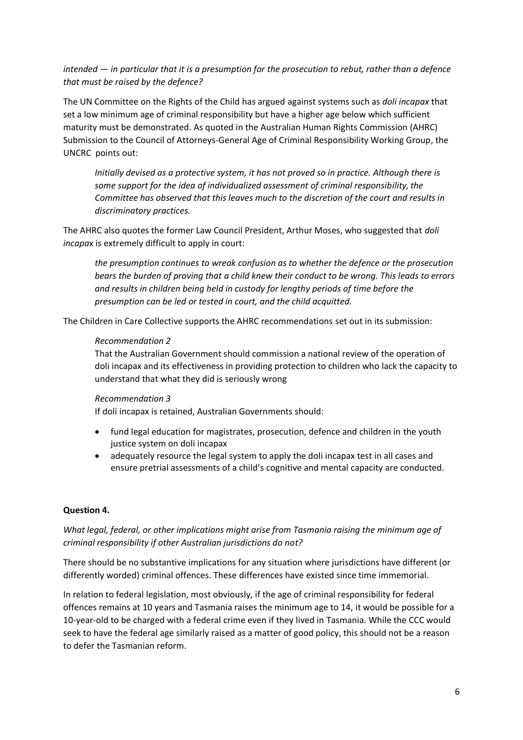*intended — in particular that it is a presumption for the prosecution to rebut, rather than a defence that must be raised by the defence?*

The UN Committee on the Rights of the Child has argued against systems such as *doli incapax* that set a low minimum age of criminal responsibility but have a higher age below which sufficient maturity must be demonstrated. As quoted in the Australian Human Rights Commission (AHRC) Submission to the Council of Attorneys-General Age of Criminal Responsibility Working Group, the UNCRC points out:

*Initially devised as a protective system, it has not proved so in practice. Although there is*  some support for the idea of individualized assessment of criminal responsibility, the *Committee has observed that this leaves much to the discretion of the court and results in discriminatory practices.* 

The AHRC also quotes the former Law Council President, Arthur Moses, who suggested that *doli incapa*x is extremely difficult to apply in court:

*the presumption continues to wreak confusion as to whether the defence or the prosecution bears the burden of proving that a child knew their conduct to be wrong. This leads to errors and results in children being held in custody for lengthy periods of time before the presumption can be led or tested in court, and the child acquitted.*

The Children in Care Collective supports the AHRC recommendations set out in its submission:

#### *Recommendation 2*

That the Australian Government should commission a national review of the operation of doli incapax and its effectiveness in providing protection to children who lack the capacity to understand that what they did is seriously wrong

#### *Recommendation 3*

If doli incapax is retained, Australian Governments should:

- fund legal education for magistrates, prosecution, defence and children in the youth justice system on doli incapax
- adequately resource the legal system to apply the doli incapax test in all cases and ensure pretrial assessments of a child's cognitive and mental capacity are conducted.

#### **Question 4.**

### *What legal, federal, or other implications might arise from Tasmania raising the minimum age of criminal responsibility if other Australian jurisdictions do not?*

There should be no substantive implications for any situation where jurisdictions have different (or differently worded) criminal offences. These differences have existed since time immemorial.

In relation to federal legislation, most obviously, if the age of criminal responsibility for federal offences remains at 10 years and Tasmania raises the minimum age to 14, it would be possible for a 10-year-old to be charged with a federal crime even if they lived in Tasmania. While the CCC would seek to have the federal age similarly raised as a matter of good policy, this should not be a reason to defer the Tasmanian reform.